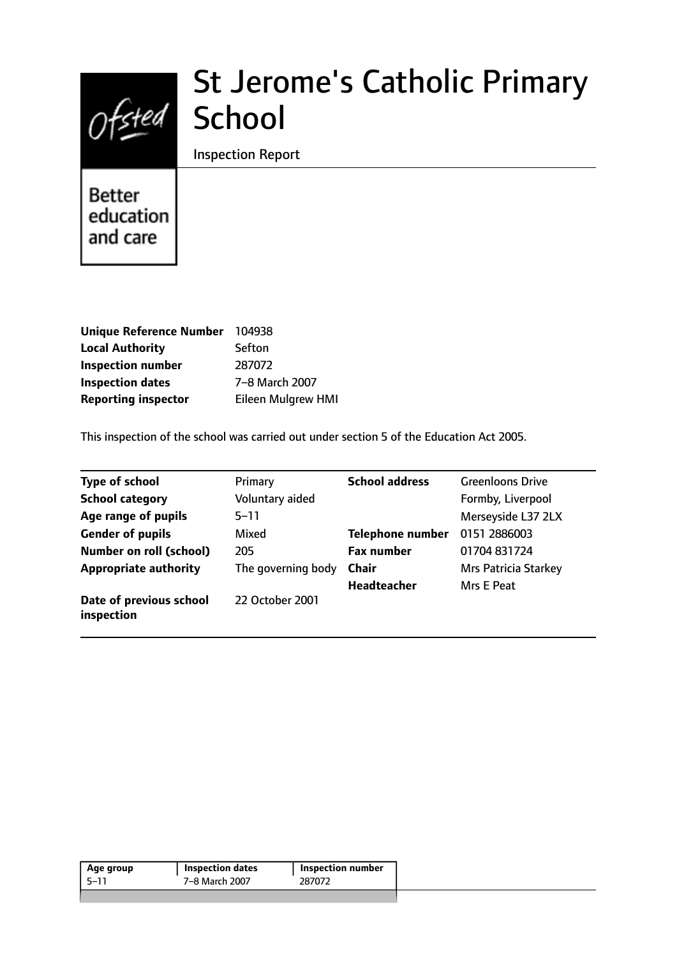

# St Jerome's Catholic Primary School

Inspection Report

**Better** education and care

| <b>Unique Reference Number</b> | 104938                    |
|--------------------------------|---------------------------|
| <b>Local Authority</b>         | Sefton                    |
| <b>Inspection number</b>       | 287072                    |
| <b>Inspection dates</b>        | 7-8 March 2007            |
| <b>Reporting inspector</b>     | <b>Eileen Mulgrew HMI</b> |

This inspection of the school was carried out under section 5 of the Education Act 2005.

| <b>Type of school</b>                 | Primary            | <b>School address</b>   | <b>Greenloons Drive</b>     |
|---------------------------------------|--------------------|-------------------------|-----------------------------|
| <b>School category</b>                | Voluntary aided    |                         | Formby, Liverpool           |
| Age range of pupils                   | $5 - 11$           |                         | Merseyside L37 2LX          |
| <b>Gender of pupils</b>               | Mixed              | <b>Telephone number</b> | 0151 2886003                |
| <b>Number on roll (school)</b>        | 205                | <b>Fax number</b>       | 01704 831724                |
| <b>Appropriate authority</b>          | The governing body | <b>Chair</b>            | <b>Mrs Patricia Starkey</b> |
|                                       |                    | <b>Headteacher</b>      | Mrs E Peat                  |
| Date of previous school<br>inspection | 22 October 2001    |                         |                             |

| 7–8 March 2007<br>-5–11<br>287072 | Age group | <b>Inspection dates</b> | Inspection number |
|-----------------------------------|-----------|-------------------------|-------------------|
|                                   |           |                         |                   |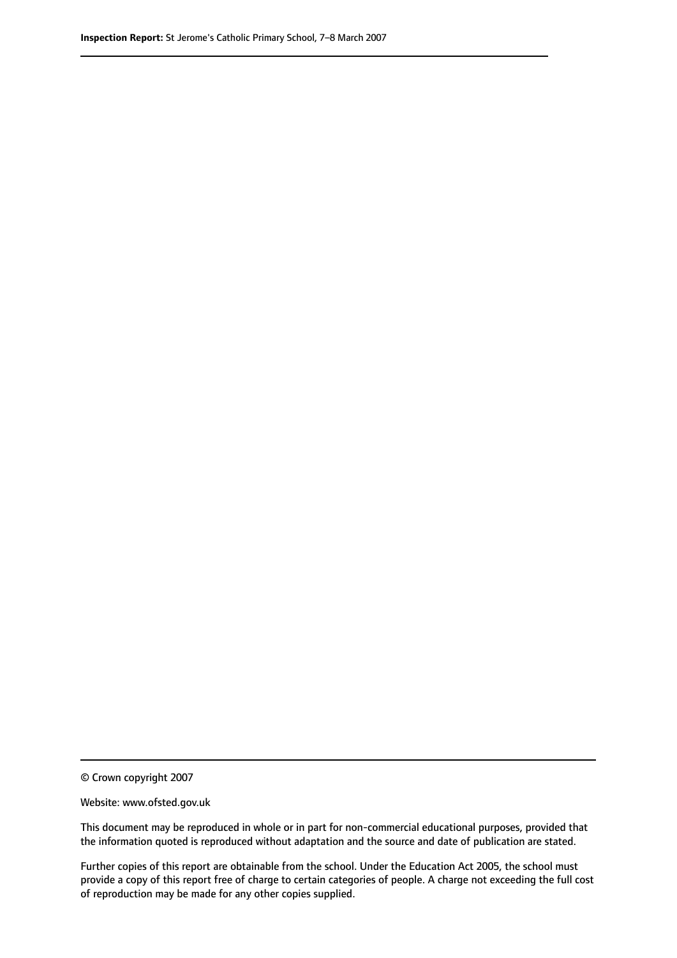© Crown copyright 2007

Website: www.ofsted.gov.uk

This document may be reproduced in whole or in part for non-commercial educational purposes, provided that the information quoted is reproduced without adaptation and the source and date of publication are stated.

Further copies of this report are obtainable from the school. Under the Education Act 2005, the school must provide a copy of this report free of charge to certain categories of people. A charge not exceeding the full cost of reproduction may be made for any other copies supplied.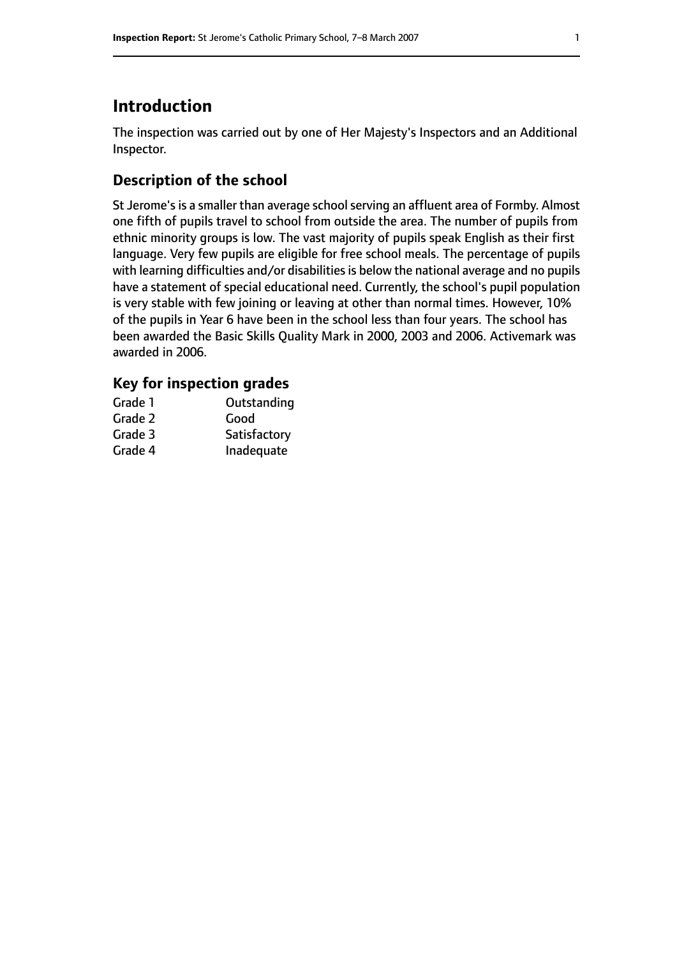# **Introduction**

The inspection was carried out by one of Her Majesty's Inspectors and an Additional Inspector.

# **Description of the school**

St Jerome's is a smaller than average school serving an affluent area of Formby. Almost one fifth of pupils travel to school from outside the area. The number of pupils from ethnic minority groups is low. The vast majority of pupils speak English as their first language. Very few pupils are eligible for free school meals. The percentage of pupils with learning difficulties and/or disabilities is below the national average and no pupils have a statement of special educational need. Currently, the school's pupil population is very stable with few joining or leaving at other than normal times. However, 10% of the pupils in Year 6 have been in the school less than four years. The school has been awarded the Basic Skills Quality Mark in 2000, 2003 and 2006. Activemark was awarded in 2006.

## **Key for inspection grades**

| Grade 1 | Outstanding  |
|---------|--------------|
| Grade 2 | Good         |
| Grade 3 | Satisfactory |
| Grade 4 | Inadequate   |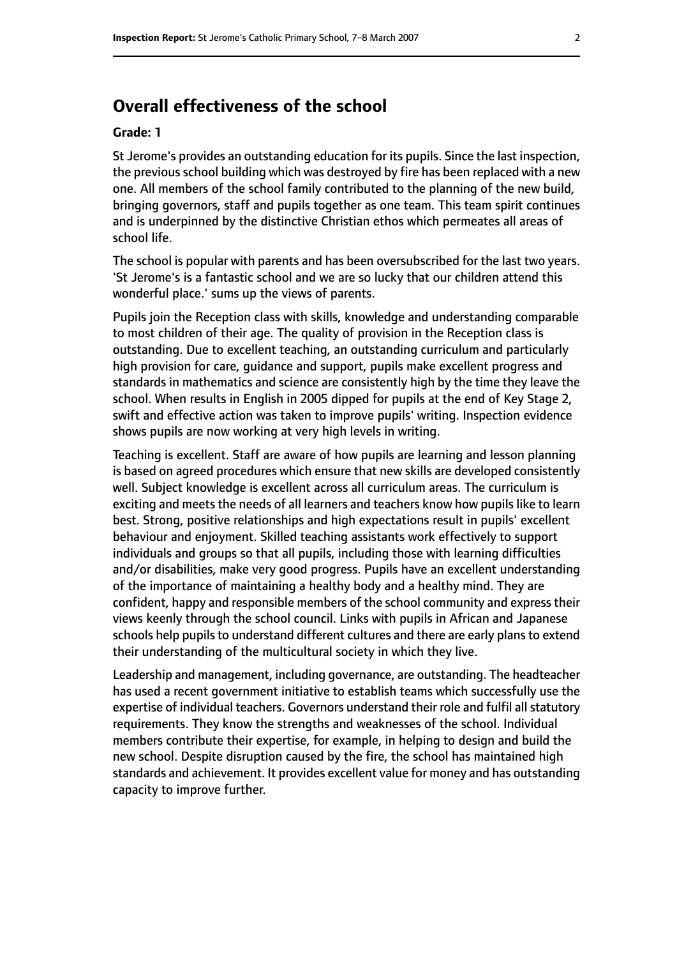# **Overall effectiveness of the school**

#### **Grade: 1**

St Jerome's provides an outstanding education for its pupils. Since the last inspection, the previous school building which was destroyed by fire has been replaced with a new one. All members of the school family contributed to the planning of the new build, bringing governors, staff and pupils together as one team. This team spirit continues and is underpinned by the distinctive Christian ethos which permeates all areas of school life.

The school is popular with parents and has been oversubscribed for the last two years. 'St Jerome's is a fantastic school and we are so lucky that our children attend this wonderful place.' sums up the views of parents.

Pupils join the Reception class with skills, knowledge and understanding comparable to most children of their age. The quality of provision in the Reception class is outstanding. Due to excellent teaching, an outstanding curriculum and particularly high provision for care, guidance and support, pupils make excellent progress and standards in mathematics and science are consistently high by the time they leave the school. When results in English in 2005 dipped for pupils at the end of Key Stage 2, swift and effective action was taken to improve pupils' writing. Inspection evidence shows pupils are now working at very high levels in writing.

Teaching is excellent. Staff are aware of how pupils are learning and lesson planning is based on agreed procedures which ensure that new skills are developed consistently well. Subject knowledge is excellent across all curriculum areas. The curriculum is exciting and meets the needs of all learners and teachers know how pupils like to learn best. Strong, positive relationships and high expectations result in pupils' excellent behaviour and enjoyment. Skilled teaching assistants work effectively to support individuals and groups so that all pupils, including those with learning difficulties and/or disabilities, make very good progress. Pupils have an excellent understanding of the importance of maintaining a healthy body and a healthy mind. They are confident, happy and responsible members of the school community and express their views keenly through the school council. Links with pupils in African and Japanese schools help pupils to understand different cultures and there are early plans to extend their understanding of the multicultural society in which they live.

Leadership and management, including governance, are outstanding. The headteacher has used a recent government initiative to establish teams which successfully use the expertise of individual teachers. Governors understand their role and fulfil all statutory requirements. They know the strengths and weaknesses of the school. Individual members contribute their expertise, for example, in helping to design and build the new school. Despite disruption caused by the fire, the school has maintained high standards and achievement. It provides excellent value for money and has outstanding capacity to improve further.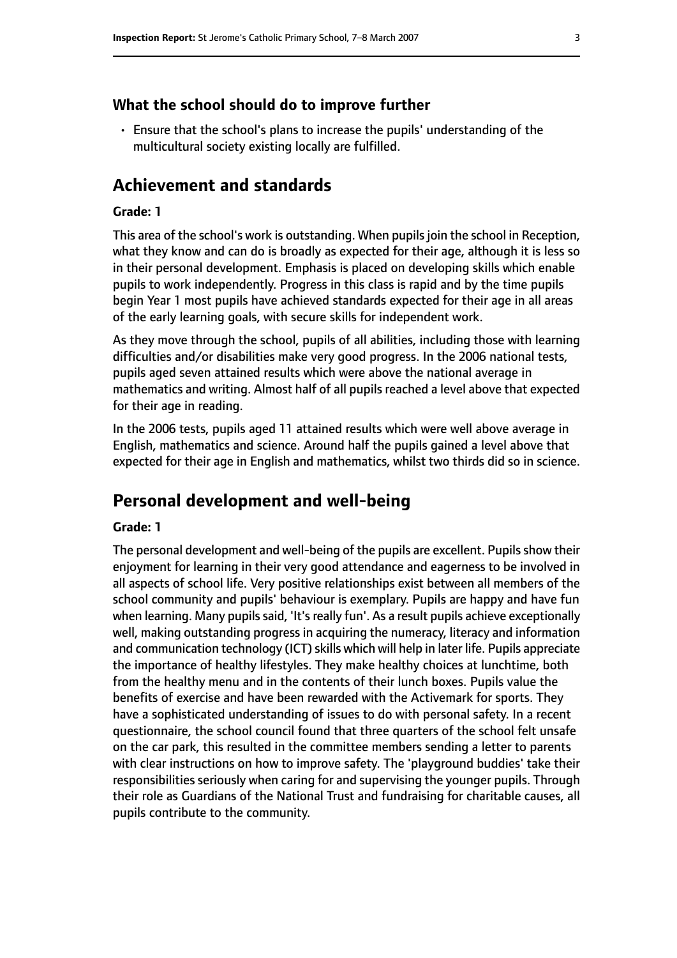#### **What the school should do to improve further**

• Ensure that the school's plans to increase the pupils' understanding of the multicultural society existing locally are fulfilled.

# **Achievement and standards**

#### **Grade: 1**

This area of the school's work is outstanding. When pupils join the school in Reception, what they know and can do is broadly as expected for their age, although it is less so in their personal development. Emphasis is placed on developing skills which enable pupils to work independently. Progress in this class is rapid and by the time pupils begin Year 1 most pupils have achieved standards expected for their age in all areas of the early learning goals, with secure skills for independent work.

As they move through the school, pupils of all abilities, including those with learning difficulties and/or disabilities make very good progress. In the 2006 national tests, pupils aged seven attained results which were above the national average in mathematics and writing. Almost half of all pupils reached a level above that expected for their age in reading.

In the 2006 tests, pupils aged 11 attained results which were well above average in English, mathematics and science. Around half the pupils gained a level above that expected for their age in English and mathematics, whilst two thirds did so in science.

## **Personal development and well-being**

#### **Grade: 1**

The personal development and well-being of the pupils are excellent. Pupils show their enjoyment for learning in their very good attendance and eagerness to be involved in all aspects of school life. Very positive relationships exist between all members of the school community and pupils' behaviour is exemplary. Pupils are happy and have fun when learning. Many pupils said, 'It's really fun'. As a result pupils achieve exceptionally well, making outstanding progress in acquiring the numeracy, literacy and information and communication technology (ICT) skills which will help in later life. Pupils appreciate the importance of healthy lifestyles. They make healthy choices at lunchtime, both from the healthy menu and in the contents of their lunch boxes. Pupils value the benefits of exercise and have been rewarded with the Activemark for sports. They have a sophisticated understanding of issues to do with personal safety. In a recent questionnaire, the school council found that three quarters of the school felt unsafe on the car park, this resulted in the committee members sending a letter to parents with clear instructions on how to improve safety. The 'playground buddies' take their responsibilities seriously when caring for and supervising the younger pupils. Through their role as Guardians of the National Trust and fundraising for charitable causes, all pupils contribute to the community.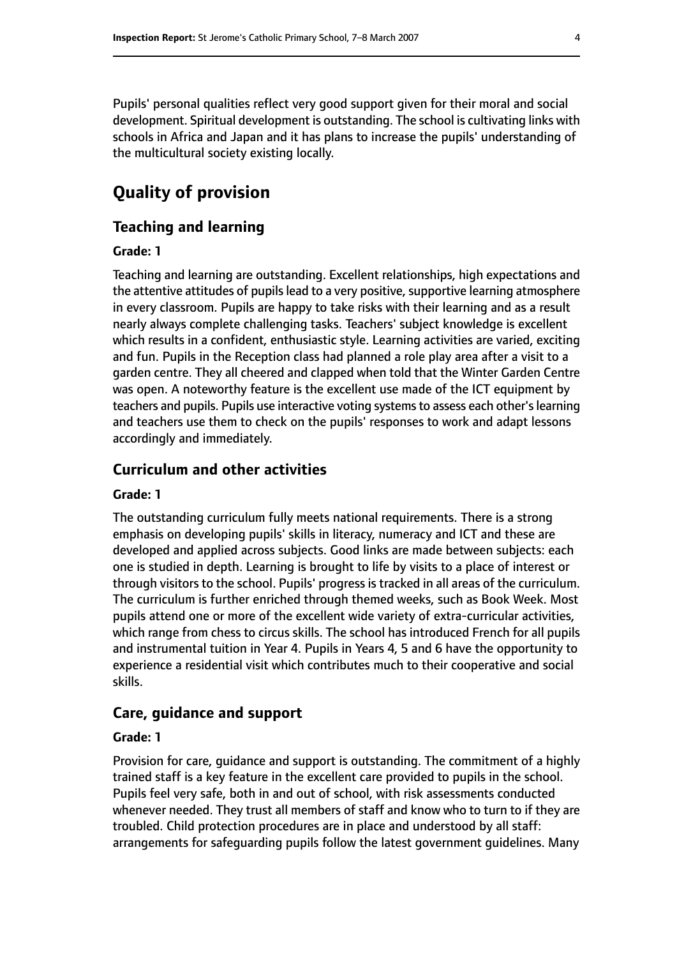Pupils' personal qualities reflect very good support given for their moral and social development. Spiritual development is outstanding. The school is cultivating links with schools in Africa and Japan and it has plans to increase the pupils' understanding of the multicultural society existing locally.

# **Quality of provision**

## **Teaching and learning**

#### **Grade: 1**

Teaching and learning are outstanding. Excellent relationships, high expectations and the attentive attitudes of pupils lead to a very positive, supportive learning atmosphere in every classroom. Pupils are happy to take risks with their learning and as a result nearly always complete challenging tasks. Teachers' subject knowledge is excellent which results in a confident, enthusiastic style. Learning activities are varied, exciting and fun. Pupils in the Reception class had planned a role play area after a visit to a garden centre. They all cheered and clapped when told that the Winter Garden Centre was open. A noteworthy feature is the excellent use made of the ICT equipment by teachers and pupils. Pupils use interactive voting systems to assess each other's learning and teachers use them to check on the pupils' responses to work and adapt lessons accordingly and immediately.

## **Curriculum and other activities**

#### **Grade: 1**

The outstanding curriculum fully meets national requirements. There is a strong emphasis on developing pupils' skills in literacy, numeracy and ICT and these are developed and applied across subjects. Good links are made between subjects: each one is studied in depth. Learning is brought to life by visits to a place of interest or through visitors to the school. Pupils' progress is tracked in all areas of the curriculum. The curriculum is further enriched through themed weeks, such as Book Week. Most pupils attend one or more of the excellent wide variety of extra-curricular activities, which range from chess to circus skills. The school has introduced French for all pupils and instrumental tuition in Year 4. Pupils in Years 4, 5 and 6 have the opportunity to experience a residential visit which contributes much to their cooperative and social skills.

## **Care, guidance and support**

#### **Grade: 1**

Provision for care, guidance and support is outstanding. The commitment of a highly trained staff is a key feature in the excellent care provided to pupils in the school. Pupils feel very safe, both in and out of school, with risk assessments conducted whenever needed. They trust all members of staff and know who to turn to if they are troubled. Child protection procedures are in place and understood by all staff: arrangements for safeguarding pupils follow the latest government guidelines. Many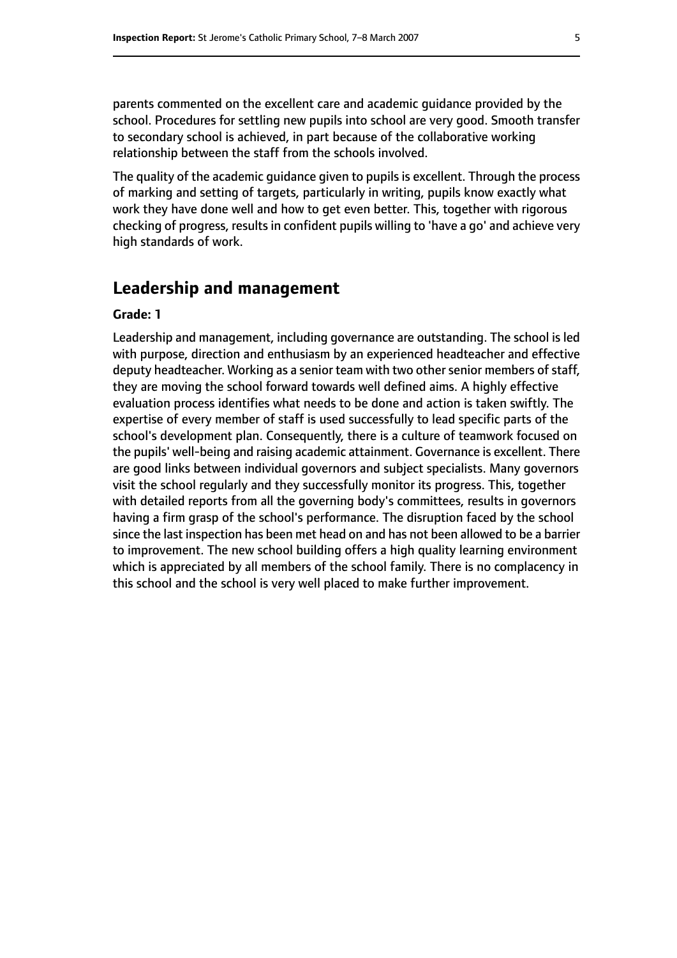parents commented on the excellent care and academic guidance provided by the school. Procedures for settling new pupils into school are very good. Smooth transfer to secondary school is achieved, in part because of the collaborative working relationship between the staff from the schools involved.

The quality of the academic guidance given to pupils is excellent. Through the process of marking and setting of targets, particularly in writing, pupils know exactly what work they have done well and how to get even better. This, together with rigorous checking of progress, results in confident pupils willing to 'have a go' and achieve very high standards of work.

## **Leadership and management**

#### **Grade: 1**

Leadership and management, including governance are outstanding. The school is led with purpose, direction and enthusiasm by an experienced headteacher and effective deputy headteacher. Working as a senior team with two other senior members of staff, they are moving the school forward towards well defined aims. A highly effective evaluation process identifies what needs to be done and action is taken swiftly. The expertise of every member of staff is used successfully to lead specific parts of the school's development plan. Consequently, there is a culture of teamwork focused on the pupils' well-being and raising academic attainment. Governance is excellent. There are good links between individual governors and subject specialists. Many governors visit the school regularly and they successfully monitor its progress. This, together with detailed reports from all the governing body's committees, results in governors having a firm grasp of the school's performance. The disruption faced by the school since the last inspection has been met head on and has not been allowed to be a barrier to improvement. The new school building offers a high quality learning environment which is appreciated by all members of the school family. There is no complacency in this school and the school is very well placed to make further improvement.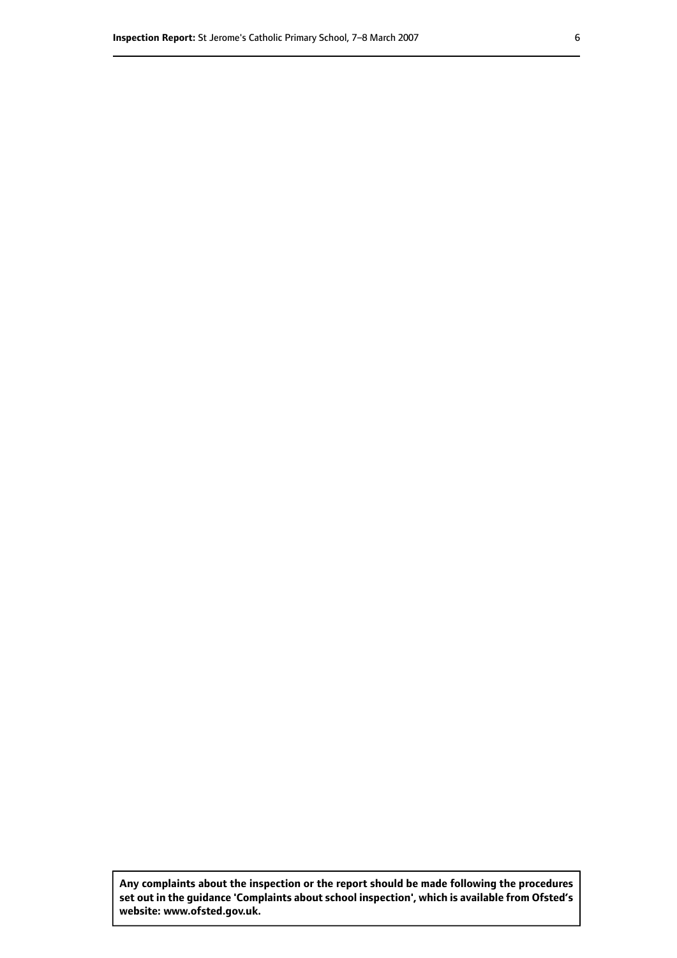**Any complaints about the inspection or the report should be made following the procedures set out inthe guidance 'Complaints about school inspection', whichis available from Ofsted's website: www.ofsted.gov.uk.**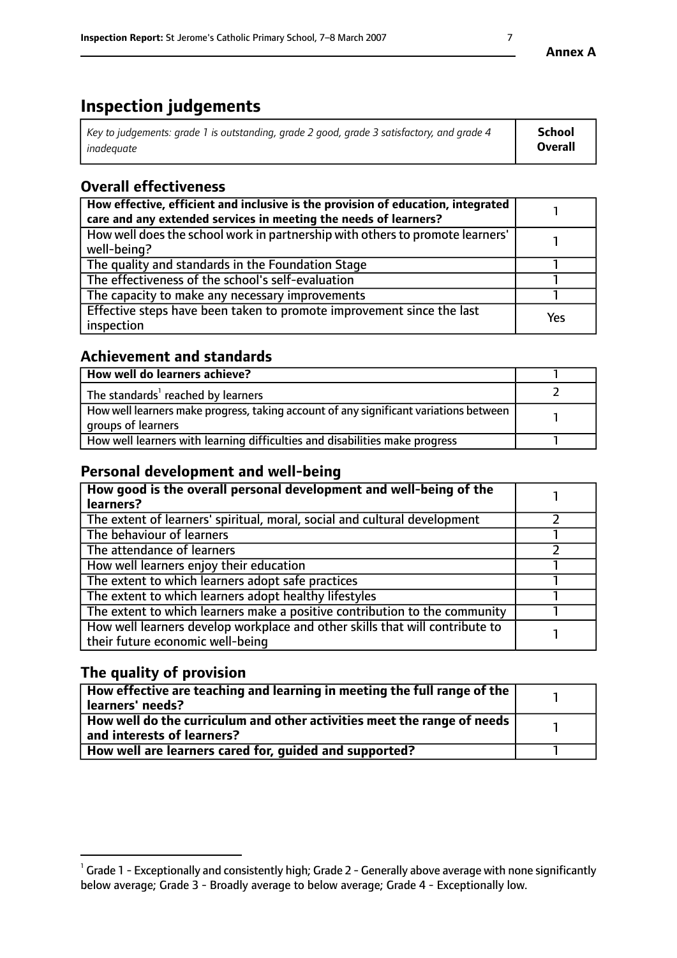# **Inspection judgements**

| Key to judgements: grade 1 is outstanding, grade 2 good, grade 3 satisfactory, and grade 4 | <b>School</b>  |
|--------------------------------------------------------------------------------------------|----------------|
| inadeauate                                                                                 | <b>Overall</b> |

# **Overall effectiveness**

| How effective, efficient and inclusive is the provision of education, integrated<br>care and any extended services in meeting the needs of learners? |     |
|------------------------------------------------------------------------------------------------------------------------------------------------------|-----|
| How well does the school work in partnership with others to promote learners'<br>well-being?                                                         |     |
| The quality and standards in the Foundation Stage                                                                                                    |     |
| The effectiveness of the school's self-evaluation                                                                                                    |     |
| The capacity to make any necessary improvements                                                                                                      |     |
| Effective steps have been taken to promote improvement since the last<br>inspection                                                                  | Yes |

# **Achievement and standards**

| How well do learners achieve?                                                                               |  |
|-------------------------------------------------------------------------------------------------------------|--|
| The standards <sup>1</sup> reached by learners                                                              |  |
| How well learners make progress, taking account of any significant variations between<br>groups of learners |  |
| How well learners with learning difficulties and disabilities make progress                                 |  |

# **Personal development and well-being**

| How good is the overall personal development and well-being of the<br>learners?                                  |  |
|------------------------------------------------------------------------------------------------------------------|--|
| The extent of learners' spiritual, moral, social and cultural development                                        |  |
| The behaviour of learners                                                                                        |  |
| The attendance of learners                                                                                       |  |
| How well learners enjoy their education                                                                          |  |
| The extent to which learners adopt safe practices                                                                |  |
| The extent to which learners adopt healthy lifestyles                                                            |  |
| The extent to which learners make a positive contribution to the community                                       |  |
| How well learners develop workplace and other skills that will contribute to<br>their future economic well-being |  |

# **The quality of provision**

| How effective are teaching and learning in meeting the full range of the<br>  learners' needs?                      |  |
|---------------------------------------------------------------------------------------------------------------------|--|
| $\mid$ How well do the curriculum and other activities meet the range of needs<br>$\mid$ and interests of learners? |  |
| How well are learners cared for, quided and supported?                                                              |  |

 $^1$  Grade 1 - Exceptionally and consistently high; Grade 2 - Generally above average with none significantly below average; Grade 3 - Broadly average to below average; Grade 4 - Exceptionally low.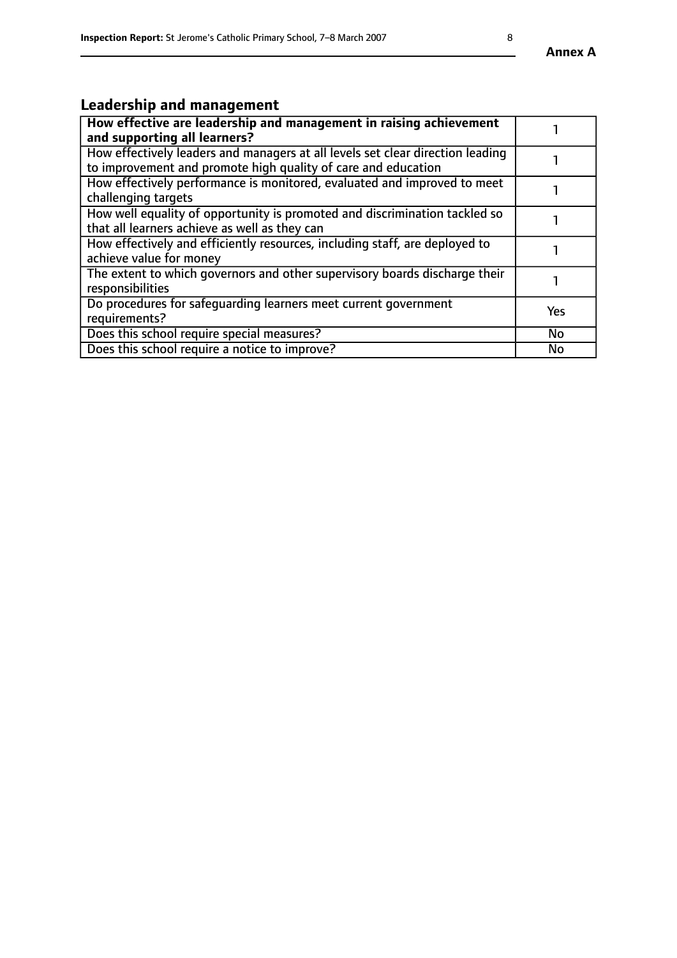#### **Annex A**

# **Leadership and management**

| How effective are leadership and management in raising achievement<br>and supporting all learners?                                              |           |
|-------------------------------------------------------------------------------------------------------------------------------------------------|-----------|
| How effectively leaders and managers at all levels set clear direction leading<br>to improvement and promote high quality of care and education |           |
| How effectively performance is monitored, evaluated and improved to meet<br>challenging targets                                                 |           |
| How well equality of opportunity is promoted and discrimination tackled so<br>that all learners achieve as well as they can                     |           |
| How effectively and efficiently resources, including staff, are deployed to<br>achieve value for money                                          |           |
| The extent to which governors and other supervisory boards discharge their<br>responsibilities                                                  |           |
| Do procedures for safequarding learners meet current government<br>requirements?                                                                | Yes       |
| Does this school require special measures?                                                                                                      | <b>No</b> |
| Does this school require a notice to improve?                                                                                                   | <b>No</b> |